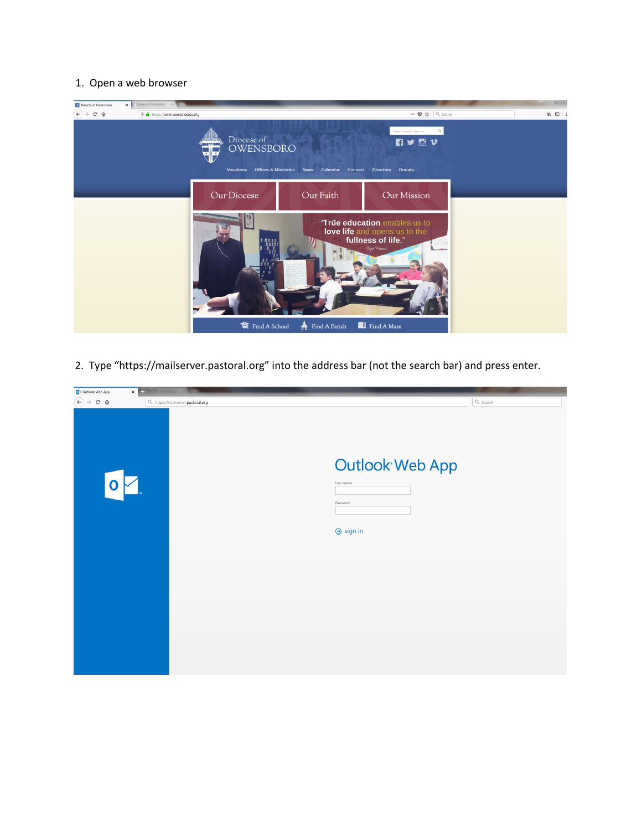## 1. Open a web browser



2. Type "https://mailserver.pastoral.org" into the address bar (not the search bar) and press enter.

| $\times$<br>OB Outlook Web App                          |                                   |                                                                |  |
|---------------------------------------------------------|-----------------------------------|----------------------------------------------------------------|--|
| $\left(\leftarrow\right)$ $\rightarrow$ $\circ$ $\circ$ | Q https://mailserver.pastoral.org | $Q$ , Search                                                   |  |
| $\Omega$                                                |                                   | Outlook Web App<br>User name:<br>Password:<br>$\Theta$ sign in |  |
|                                                         |                                   |                                                                |  |
|                                                         |                                   |                                                                |  |
|                                                         |                                   |                                                                |  |
|                                                         |                                   |                                                                |  |
|                                                         |                                   |                                                                |  |
|                                                         |                                   |                                                                |  |
|                                                         |                                   |                                                                |  |
|                                                         |                                   |                                                                |  |
|                                                         |                                   |                                                                |  |
|                                                         |                                   |                                                                |  |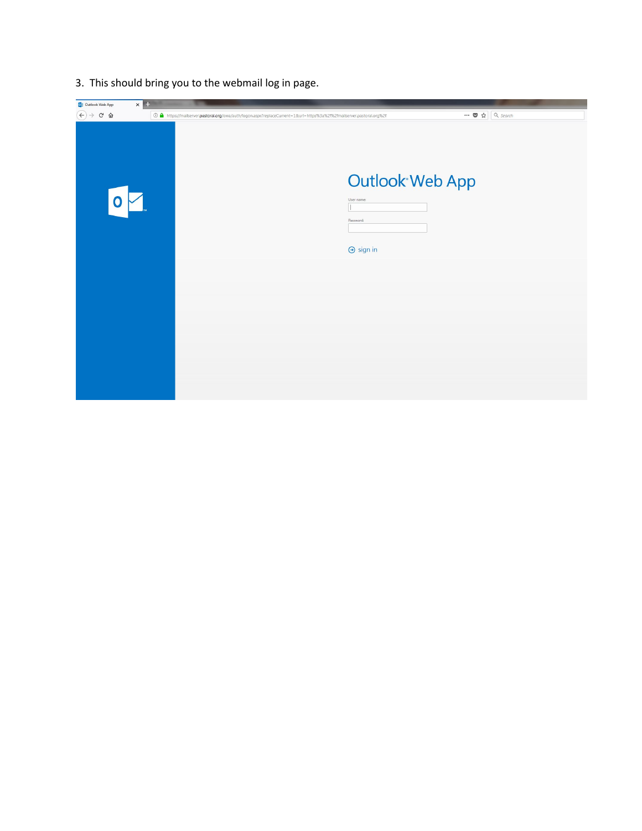3. This should bring you to the webmail log in page.

| $\left(\leftarrow\right)$ $\rightarrow$ $\left[\right.$ $\right]$ $\oplus$ $\left.\right.$ $\oplus$<br>$\cdots$ $\bullet$ $\uparrow$ Q Search<br>12% https://mailserver.pastoral.org/owa/auth/logon.aspx?replaceCurrent=1&url=https%3a%2f%2fmailserver.pastoral.org%2f<br>Outlook Web App<br>User name:<br>Password:<br>$\Theta$ sign in | $\times$<br>03 Outlook Web App |  |
|------------------------------------------------------------------------------------------------------------------------------------------------------------------------------------------------------------------------------------------------------------------------------------------------------------------------------------------|--------------------------------|--|
|                                                                                                                                                                                                                                                                                                                                          |                                |  |
|                                                                                                                                                                                                                                                                                                                                          |                                |  |
|                                                                                                                                                                                                                                                                                                                                          |                                |  |
|                                                                                                                                                                                                                                                                                                                                          |                                |  |
|                                                                                                                                                                                                                                                                                                                                          |                                |  |
|                                                                                                                                                                                                                                                                                                                                          |                                |  |
|                                                                                                                                                                                                                                                                                                                                          |                                |  |
|                                                                                                                                                                                                                                                                                                                                          |                                |  |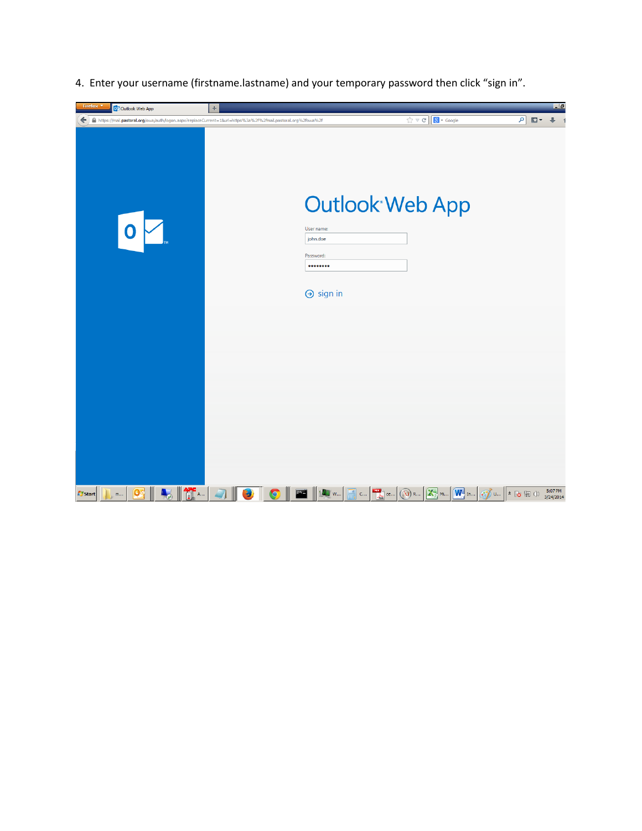4. Enter your username (firstname.lastname) and your temporary password then click "sign in".

| Firefox <b>v</b><br>O <sup>2</sup> Outlook Web App                                                                                                                                     | ÷                                                           |                                                                             | $\Box$                                                                                         |
|----------------------------------------------------------------------------------------------------------------------------------------------------------------------------------------|-------------------------------------------------------------|-----------------------------------------------------------------------------|------------------------------------------------------------------------------------------------|
| ← A https://mail.pastoral.org/owa/auth/logon.aspx?replaceCurrent=18url=https%3a%2f%2fmail.pastoral.org%2fowa%2f                                                                        |                                                             | $\hat{C}$ $\forall$ $C$ $\boxed{8}$ + Google                                | Q<br>⊕<br>$\rightarrow$                                                                        |
| Ô                                                                                                                                                                                      | User name:<br>john.doe<br>Password:<br><br>$\Theta$ sign in | <b>Outlook Web App</b>                                                      |                                                                                                |
|                                                                                                                                                                                        |                                                             |                                                                             |                                                                                                |
|                                                                                                                                                                                        |                                                             |                                                                             |                                                                                                |
| $\begin{array}{ c c c }\hline \textbf{a} & \textbf{b} & \textbf{c} \\ \hline \textbf{b} & \textbf{c} & \textbf{c} \end{array}$<br>$\mathbf{Q}$<br><b>A</b> Start<br>$m_{\ast\ast\ast}$ | Q<br>۵ w<br>$\mathsf{C}^{++}$<br>Ψ                          | $\boxed{\mathbf{W}^{\mathbf{d}}$ In<br>X<br>$\mathbf{U}$ R<br>ce<br>$M_{1}$ | 5:07 PM<br>$\mathbb{C}$ u $\left \ast\right\rangle$ and $\left \ast\right\rangle$<br>3/24/2014 |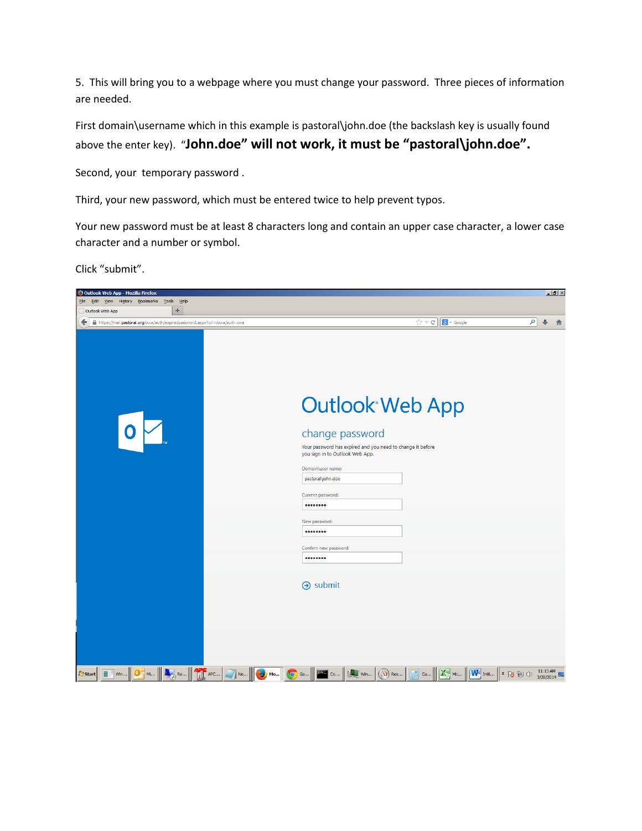5. This will bring you to a webpage where you must change your password. Three pieces of information are needed.

First domain\username which in this example is pastoral\john.doe (the backslash key is usually found above the enter key). "**John.doe" will not work, it must be "pastoral\john.doe".**

Second, your temporary password .

Third, your new password, which must be entered twice to help prevent typos.

Your new password must be at least 8 characters long and contain an upper case character, a lower case character and a number or symbol.

Click "submit".

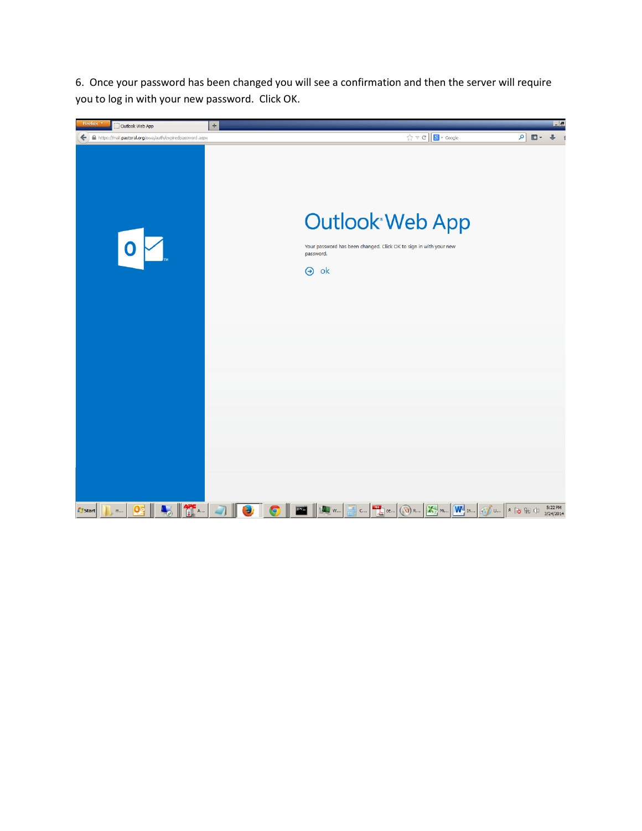6. Once your password has been changed you will see a confirmation and then the server will require you to log in with your new password. Click OK.

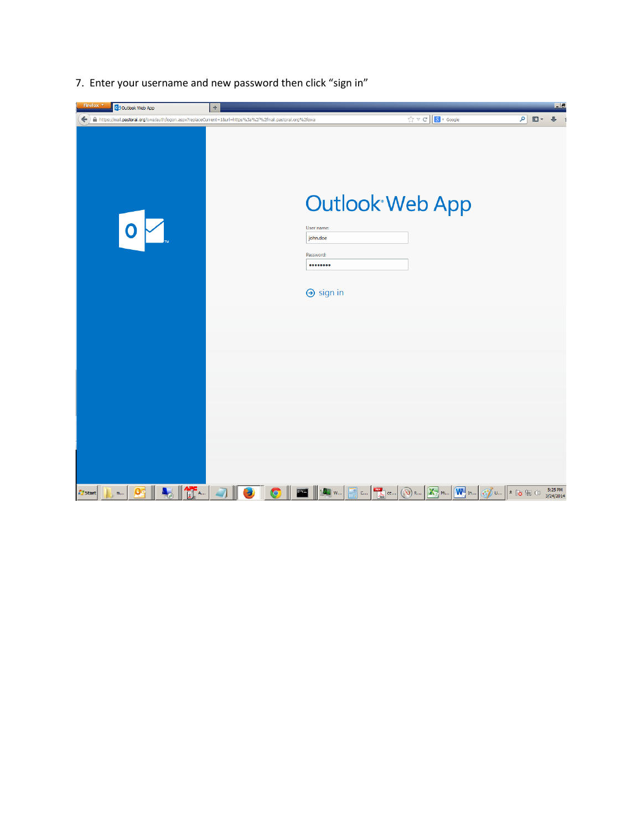| Firefox <b>v</b><br>02 Outlook Web App                | $\pm$                                                                                                          |                                                                                  | $\Box$ al                                                                                                                                                                                                                                                                                                                                                                   |
|-------------------------------------------------------|----------------------------------------------------------------------------------------------------------------|----------------------------------------------------------------------------------|-----------------------------------------------------------------------------------------------------------------------------------------------------------------------------------------------------------------------------------------------------------------------------------------------------------------------------------------------------------------------------|
|                                                       | ← ) A https://mail.pastoral.org/owa/auth/logon.aspx?replaceCurrent=18url=https%3a%2f%2fmail.pastoral.org%2fowa | $\left[\begin{array}{c c}\n\hline\n\end{array}\right]$ $\mathbb{R}$ + Google     | ا فر<br>$\Box$<br>$+ 1$                                                                                                                                                                                                                                                                                                                                                     |
|                                                       | User name:<br>john.doe<br>Password:<br><br>$\Theta$ sign in                                                    | <b>Outlook Web App</b>                                                           |                                                                                                                                                                                                                                                                                                                                                                             |
|                                                       |                                                                                                                |                                                                                  |                                                                                                                                                                                                                                                                                                                                                                             |
| $\mathbf{Q}$<br><b>A</b> Start<br>$\mathsf{m} \ldots$ | $\  \mathbf{r} \ $<br>$\bullet$<br><b>ALL</b> W<br>Э                                                           | $\frac{1}{\sqrt{\log n}}$ ce<br><b>X</b> M<br>$(\lambda)$ R<br>$\mathsf{C}^{++}$ | $\begin{picture}(18,10) \put(0,0){\line(1,0){10}} \put(15,0){\line(1,0){10}} \put(15,0){\line(1,0){10}} \put(15,0){\line(1,0){10}} \put(15,0){\line(1,0){10}} \put(15,0){\line(1,0){10}} \put(15,0){\line(1,0){10}} \put(15,0){\line(1,0){10}} \put(15,0){\line(1,0){10}} \put(15,0){\line(1,0){10}} \put(15,0){\line(1,0){10}} \put(15,0){\line(1$<br>5:25 PM<br>3/24/2014 |

7. Enter your username and new password then click "sign in"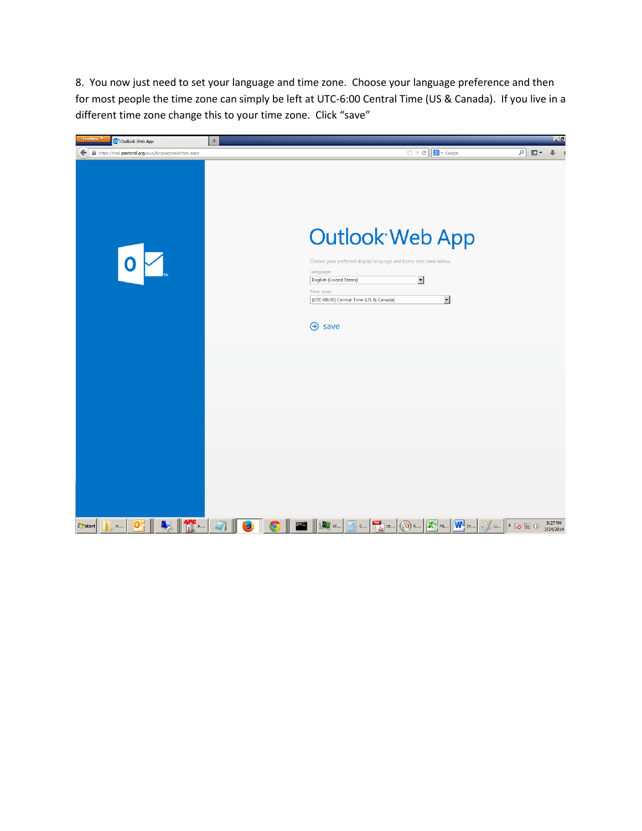8. You now just need to set your language and time zone. Choose your language preference and then for most people the time zone can simply be left at UTC-6:00 Central Time (US & Canada). If you live in a different time zone change this to your time zone. Click "save"

| Firefox<br>O <sup>2</sup> Outlook Web App                                                                                                                                                                                   | $\div$    |                                                                                                                                                                                                                    |                                                | $\Box$                                               |
|-----------------------------------------------------------------------------------------------------------------------------------------------------------------------------------------------------------------------------|-----------|--------------------------------------------------------------------------------------------------------------------------------------------------------------------------------------------------------------------|------------------------------------------------|------------------------------------------------------|
| A https://mail.pastoral.org/owa/languageselection.aspx                                                                                                                                                                      |           |                                                                                                                                                                                                                    | $\Rightarrow$ $C$ $\boxed{8}$ + Google         | $9$ $\Box$ + $\Box$                                  |
| 0                                                                                                                                                                                                                           |           | <b>Outlook Web App</b><br>Choose your preferred display language and home time zone below.<br>Language:<br><b>English (United States)</b><br>Time zone:<br>(UTC-06:00) Central Time (US & Canada)<br>$\Theta$ save | $\blacksquare$<br>$\overline{ }$               |                                                      |
|                                                                                                                                                                                                                             |           |                                                                                                                                                                                                                    |                                                | 5:27 PM                                              |
| $\frac{1}{\sqrt{2}}$ $\frac{1}{\sqrt{2}}$ $\frac{1}{\sqrt{2}}$ $\frac{1}{\sqrt{2}}$ $\frac{1}{\sqrt{2}}$ $\frac{1}{\sqrt{2}}$ $\frac{1}{\sqrt{2}}$ $\frac{1}{\sqrt{2}}$<br><b>A</b> Start<br>$\mathsf{m}_{\leftrightarrow}$ | $\bullet$ | $\sum_{\text{loss}}$ ce<br>$(\lambda)$ R<br>W<br>$\mathsf{C}^{++}$                                                                                                                                                 | $\boxed{\mathbf{X}}$ M $\boxed{\mathbf{W}}$ In | $\odot$ and $\sim$ $\sim$ $\sim$ $\sim$<br>3/24/2014 |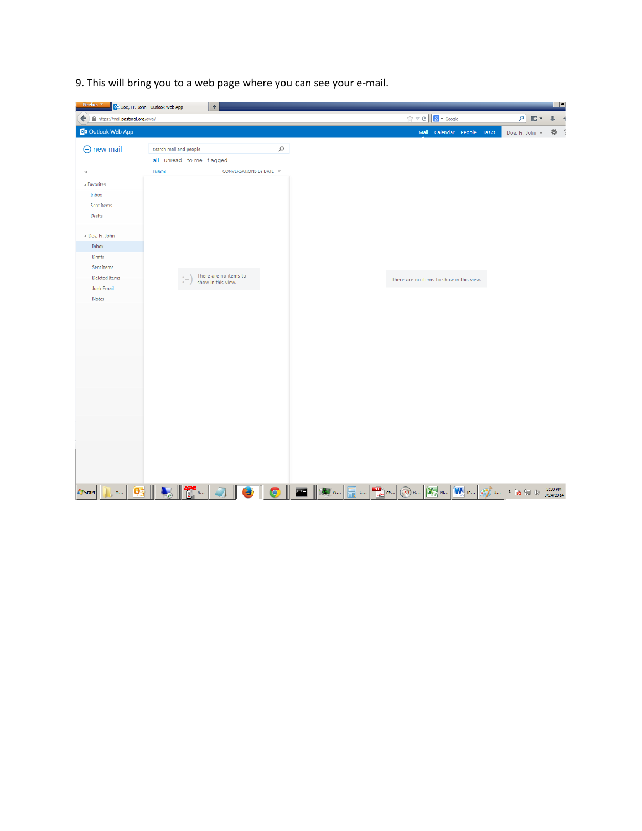9. This will bring you to a web page where you can see your e-mail.

| Firefox <b>v</b>                      | OZ Doe, Fr. John - Outlook Web App | $\div$                                      |           |     |                           |                                          |                                  | $  -   \theta  $    |
|---------------------------------------|------------------------------------|---------------------------------------------|-----------|-----|---------------------------|------------------------------------------|----------------------------------|---------------------|
| https://mail.pastoral.org/owa/<br>←   |                                    |                                             |           |     |                           | $\sqrt{2} \nabla C$ $8 \cdot$ Google     | $\vert \alpha \vert$<br>$\Box$ - | ⊕<br>$\overline{1}$ |
| <b>O</b> <sup>2</sup> Outlook Web App |                                    |                                             |           |     |                           | Mail Calendar People Tasks               | Doe, Fr. John -                  | 章 1                 |
| $\bigoplus$ new mail                  | search mail and people             |                                             | $\varphi$ |     |                           |                                          |                                  |                     |
|                                       | all unread to me flagged           |                                             |           |     |                           |                                          |                                  |                     |
| $\langle \langle$                     | <b>INBOX</b>                       | CONVERSATIONS BY DATE V                     |           |     |                           |                                          |                                  |                     |
| A Favorites                           |                                    |                                             |           |     |                           |                                          |                                  |                     |
| Inbox                                 |                                    |                                             |           |     |                           |                                          |                                  |                     |
| Sent Items                            |                                    |                                             |           |     |                           |                                          |                                  |                     |
| Drafts                                |                                    |                                             |           |     |                           |                                          |                                  |                     |
| ⊿ Doe, Fr. John                       |                                    |                                             |           |     |                           |                                          |                                  |                     |
| Inbox                                 |                                    |                                             |           |     |                           |                                          |                                  |                     |
| Drafts                                |                                    |                                             |           |     |                           |                                          |                                  |                     |
| Sent Items                            |                                    |                                             |           |     |                           |                                          |                                  |                     |
| <b>Deleted Items</b>                  |                                    | There are no items to<br>show in this view. |           |     |                           | There are no items to show in this view. |                                  |                     |
| <b>Junk Email</b>                     |                                    |                                             |           |     |                           |                                          |                                  |                     |
| Notes                                 |                                    |                                             |           |     |                           |                                          |                                  |                     |
|                                       |                                    |                                             |           |     |                           |                                          |                                  |                     |
|                                       |                                    |                                             |           |     |                           |                                          |                                  |                     |
|                                       |                                    |                                             |           |     |                           |                                          |                                  |                     |
|                                       |                                    |                                             |           |     |                           |                                          |                                  |                     |
|                                       |                                    |                                             |           |     |                           |                                          |                                  |                     |
|                                       |                                    |                                             |           |     |                           |                                          |                                  |                     |
|                                       |                                    |                                             |           |     |                           |                                          |                                  |                     |
|                                       |                                    |                                             |           |     |                           |                                          |                                  |                     |
|                                       |                                    |                                             |           |     |                           |                                          |                                  |                     |
|                                       |                                    |                                             |           |     |                           |                                          |                                  |                     |
|                                       |                                    |                                             |           |     |                           |                                          |                                  |                     |
|                                       |                                    |                                             |           |     |                           |                                          |                                  |                     |
|                                       |                                    |                                             |           |     |                           |                                          |                                  |                     |
|                                       |                                    |                                             |           |     |                           |                                          |                                  |                     |
|                                       |                                    |                                             |           |     |                           |                                          |                                  |                     |
| $\mathbf{Q}$<br><b>Start</b>          |                                    |                                             |           |     |                           | W <sup>a</sup> In                        | $\hat{\mathbf{x}}$               | 5:30 PM             |
| $m$                                   | <b>ASS</b>                         | S.                                          | $\bullet$ | $C$ | ce<br>$\mathbf{U}$<br>R., |                                          | たもの<br>U                         | 3/24/2014           |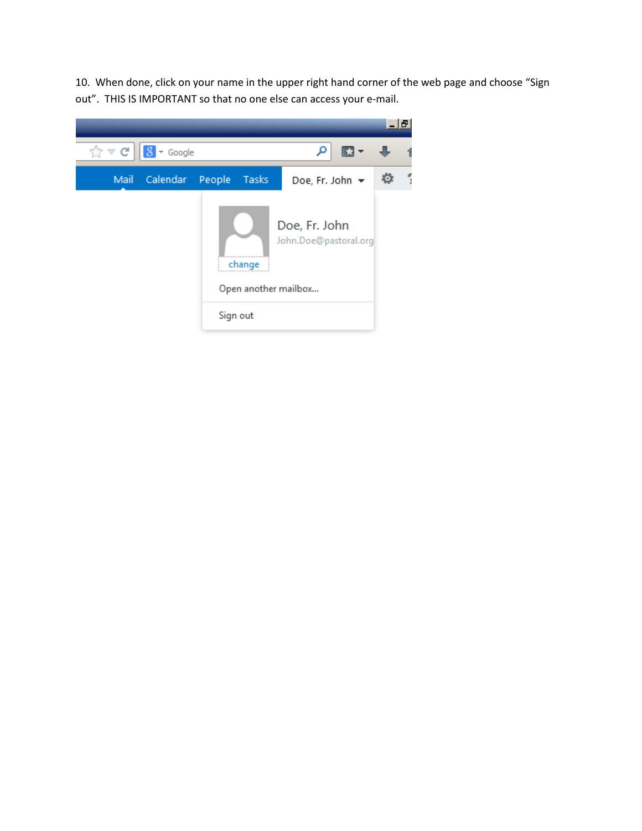10. When done, click on your name in the upper right hand corner of the web page and choose "Sign out". THIS IS IMPORTANT so that no one else can access your e-mail.